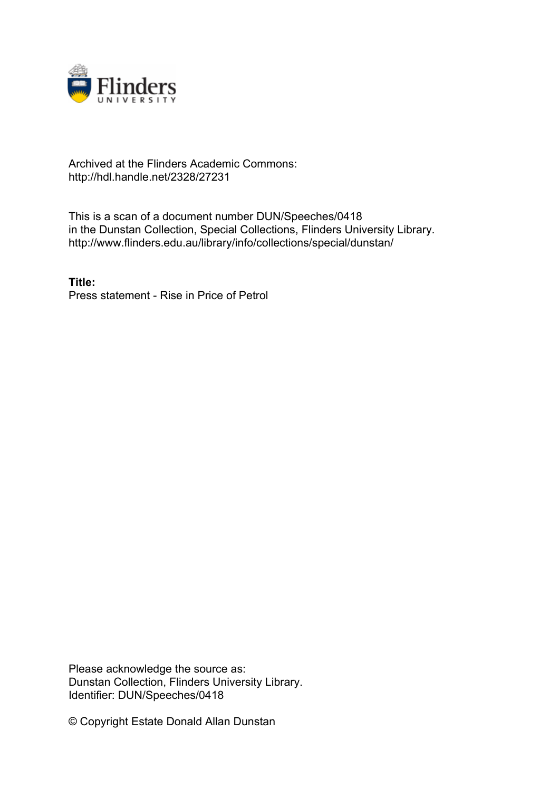

## Archived at the Flinders Academic Commons: http://hdl.handle.net/2328/27231

This is a scan of a document number DUN/Speeches/0418 in the Dunstan Collection, Special Collections, Flinders University Library. http://www.flinders.edu.au/library/info/collections/special/dunstan/

**Title:** Press statement - Rise in Price of Petrol

Please acknowledge the source as: Dunstan Collection, Flinders University Library. Identifier: DUN/Speeches/0418

© Copyright Estate Donald Allan Dunstan